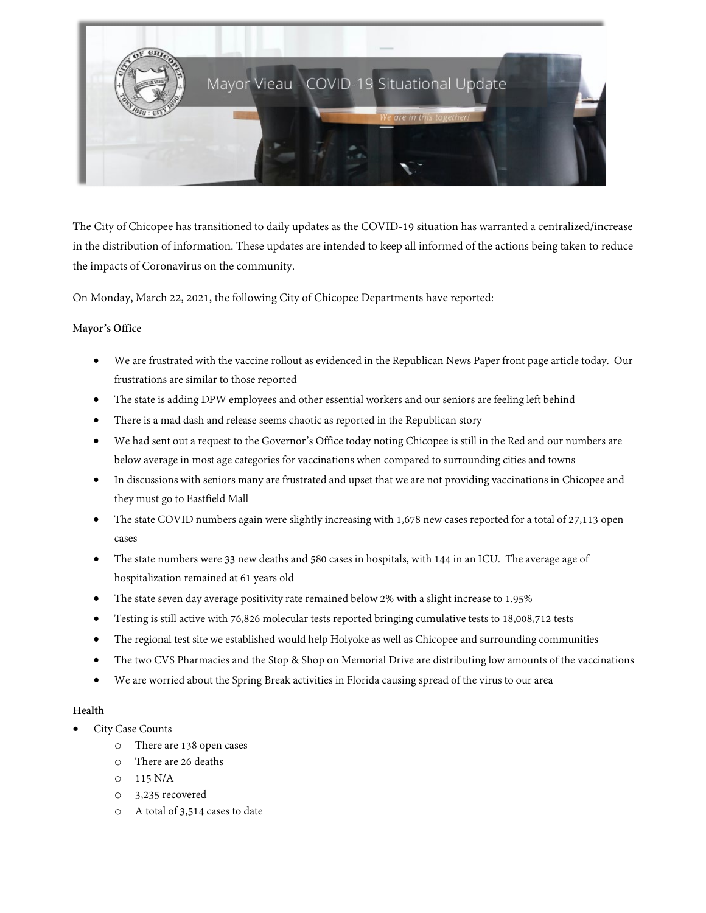

The City of Chicopee has transitioned to daily updates as the COVID-19 situation has warranted a centralized/increase in the distribution of information. These updates are intended to keep all informed of the actions being taken to reduce the impacts of Coronavirus on the community.

On Monday, March 22, 2021, the following City of Chicopee Departments have reported:

#### M**ayor's Office**

- We are frustrated with the vaccine rollout as evidenced in the Republican News Paper front page article today. Our frustrations are similar to those reported
- The state is adding DPW employees and other essential workers and our seniors are feeling left behind
- There is a mad dash and release seems chaotic as reported in the Republican story
- We had sent out a request to the Governor's Office today noting Chicopee is still in the Red and our numbers are below average in most age categories for vaccinations when compared to surrounding cities and towns
- In discussions with seniors many are frustrated and upset that we are not providing vaccinations in Chicopee and they must go to Eastfield Mall
- The state COVID numbers again were slightly increasing with 1,678 new cases reported for a total of 27,113 open cases
- The state numbers were 33 new deaths and 580 cases in hospitals, with 144 in an ICU. The average age of hospitalization remained at 61 years old
- The state seven day average positivity rate remained below 2% with a slight increase to 1.95%
- Testing is still active with 76,826 molecular tests reported bringing cumulative tests to 18,008,712 tests
- The regional test site we established would help Holyoke as well as Chicopee and surrounding communities
- The two CVS Pharmacies and the Stop & Shop on Memorial Drive are distributing low amounts of the vaccinations
- We are worried about the Spring Break activities in Florida causing spread of the virus to our area

#### **Health**

- City Case Counts
	- o There are 138 open cases
	- o There are 26 deaths
	- o 115 N/A
	- o 3,235 recovered
	- o A total of 3,514 cases to date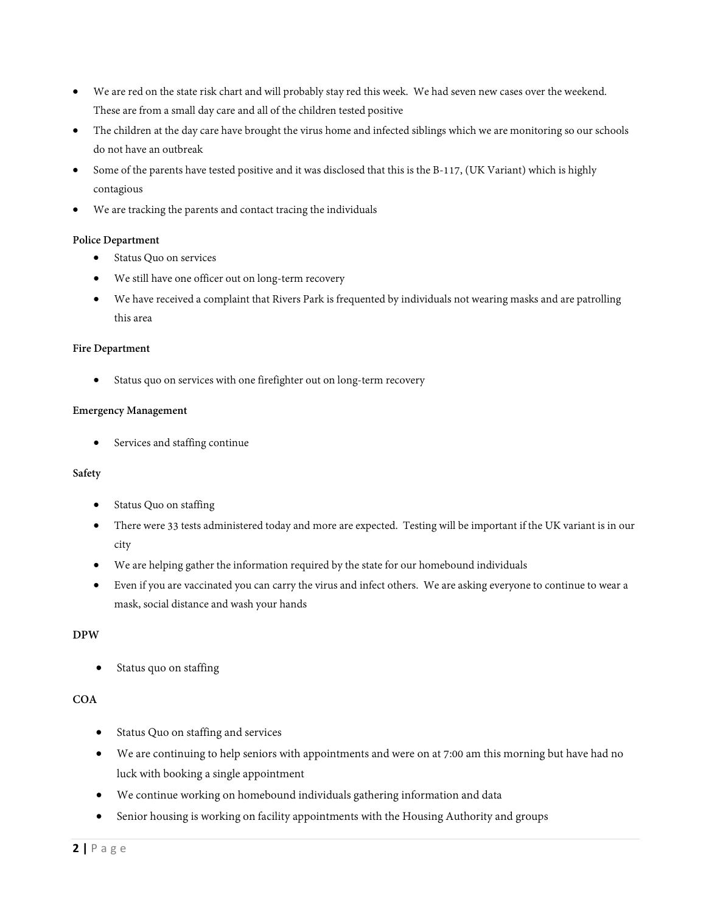- We are red on the state risk chart and will probably stay red this week. We had seven new cases over the weekend. These are from a small day care and all of the children tested positive
- The children at the day care have brought the virus home and infected siblings which we are monitoring so our schools do not have an outbreak
- Some of the parents have tested positive and it was disclosed that this is the B-117, (UK Variant) which is highly contagious
- We are tracking the parents and contact tracing the individuals

## **Police Department**

- Status Quo on services
- We still have one officer out on long-term recovery
- We have received a complaint that Rivers Park is frequented by individuals not wearing masks and are patrolling this area

#### **Fire Department**

Status quo on services with one firefighter out on long-term recovery

#### **Emergency Management**

Services and staffing continue

#### **Safety**

- Status Quo on staffing
- There were 33 tests administered today and more are expected. Testing will be important if the UK variant is in our city
- We are helping gather the information required by the state for our homebound individuals
- Even if you are vaccinated you can carry the virus and infect others. We are asking everyone to continue to wear a mask, social distance and wash your hands

#### **DPW**

• Status quo on staffing

# **COA**

- Status Quo on staffing and services
- We are continuing to help seniors with appointments and were on at 7:00 am this morning but have had no luck with booking a single appointment
- We continue working on homebound individuals gathering information and data
- Senior housing is working on facility appointments with the Housing Authority and groups